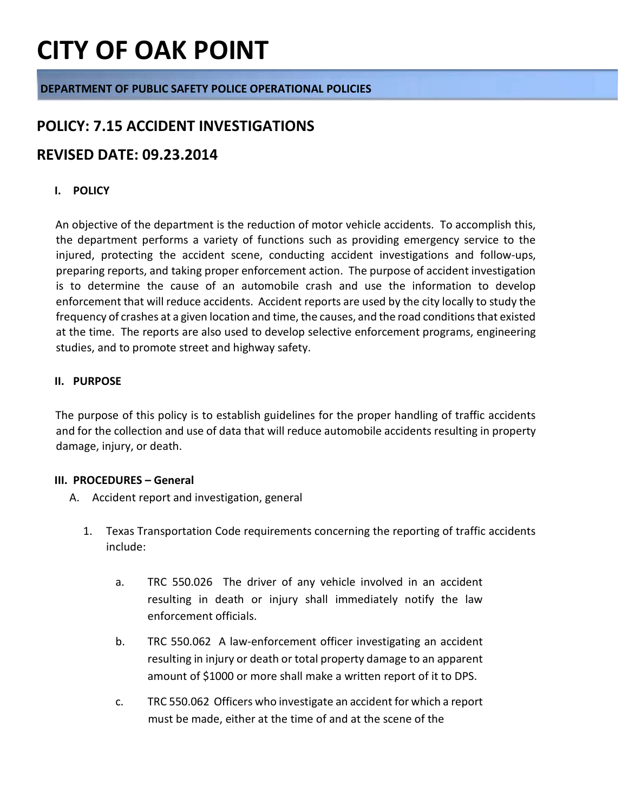### **DEPARTMENT OF PUBLIC SAFETY POLICE OPERATIONAL POLICIES**

### **POLICY: 7.15 ACCIDENT INVESTIGATIONS**

### **REVISED DATE: 09.23.2014**

### **I. POLICY**

An objective of the department is the reduction of motor vehicle accidents. To accomplish this, the department performs a variety of functions such as providing emergency service to the injured, protecting the accident scene, conducting accident investigations and follow-ups, preparing reports, and taking proper enforcement action. The purpose of accident investigation is to determine the cause of an automobile crash and use the information to develop enforcement that will reduce accidents. Accident reports are used by the city locally to study the frequency of crashes at a given location and time, the causes, and the road conditions that existed at the time. The reports are also used to develop selective enforcement programs, engineering studies, and to promote street and highway safety.

### **II. PURPOSE**

The purpose of this policy is to establish guidelines for the proper handling of traffic accidents and for the collection and use of data that will reduce automobile accidents resulting in property damage, injury, or death.

#### **III. PROCEDURES – General**

- A. Accident report and investigation, general
	- 1. Texas Transportation Code requirements concerning the reporting of traffic accidents include:
		- a. TRC 550.026 The driver of any vehicle involved in an accident resulting in death or injury shall immediately notify the law enforcement officials.
		- b. TRC 550.062 A law-enforcement officer investigating an accident resulting in injury or death or total property damage to an apparent amount of \$1000 or more shall make a written report of it to DPS.
		- c. TRC 550.062 Officers who investigate an accident for which a report must be made, either at the time of and at the scene of the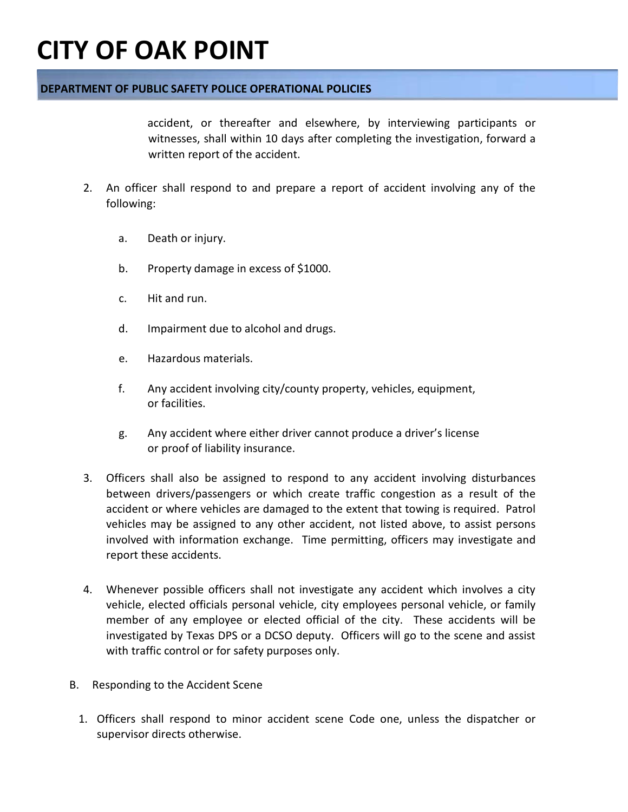### **DEPARTMENT OF PUBLIC SAFETY POLICE OPERATIONAL POLICIES**

accident, or thereafter and elsewhere, by interviewing participants or witnesses, shall within 10 days after completing the investigation, forward a written report of the accident.

- 2. An officer shall respond to and prepare a report of accident involving any of the following:
	- a. Death or injury.
	- b. Property damage in excess of \$1000.
	- c. Hit and run.
	- d. Impairment due to alcohol and drugs.
	- e. Hazardous materials.
	- f. Any accident involving city/county property, vehicles, equipment, or facilities.
	- g. Any accident where either driver cannot produce a driver's license or proof of liability insurance.
- 3. Officers shall also be assigned to respond to any accident involving disturbances between drivers/passengers or which create traffic congestion as a result of the accident or where vehicles are damaged to the extent that towing is required. Patrol vehicles may be assigned to any other accident, not listed above, to assist persons involved with information exchange. Time permitting, officers may investigate and report these accidents.
- 4. Whenever possible officers shall not investigate any accident which involves a city vehicle, elected officials personal vehicle, city employees personal vehicle, or family member of any employee or elected official of the city. These accidents will be investigated by Texas DPS or a DCSO deputy. Officers will go to the scene and assist with traffic control or for safety purposes only.
- B. Responding to the Accident Scene
	- 1. Officers shall respond to minor accident scene Code one, unless the dispatcher or supervisor directs otherwise.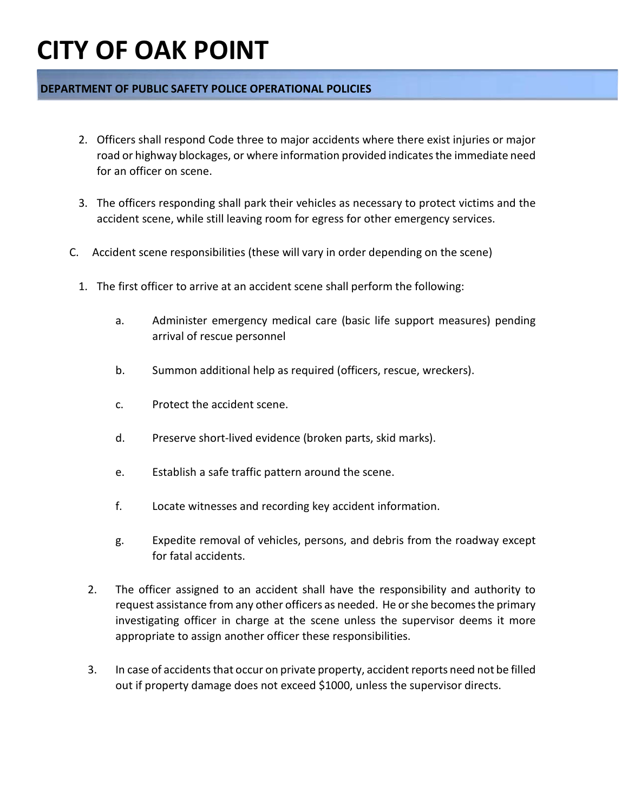### **DEPARTMENT OF PUBLIC SAFETY POLICE OPERATIONAL POLICIES**

- 2. Officers shall respond Code three to major accidents where there exist injuries or major road or highway blockages, or where information provided indicates the immediate need for an officer on scene.
- 3. The officers responding shall park their vehicles as necessary to protect victims and the accident scene, while still leaving room for egress for other emergency services.
- C. Accident scene responsibilities (these will vary in order depending on the scene)
	- 1. The first officer to arrive at an accident scene shall perform the following:
		- a. Administer emergency medical care (basic life support measures) pending arrival of rescue personnel
		- b. Summon additional help as required (officers, rescue, wreckers).
		- c. Protect the accident scene.
		- d. Preserve short-lived evidence (broken parts, skid marks).
		- e. Establish a safe traffic pattern around the scene.
		- f. Locate witnesses and recording key accident information.
		- g. Expedite removal of vehicles, persons, and debris from the roadway except for fatal accidents.
		- 2. The officer assigned to an accident shall have the responsibility and authority to request assistance from any other officers as needed. He or she becomes the primary investigating officer in charge at the scene unless the supervisor deems it more appropriate to assign another officer these responsibilities.
		- 3. In case of accidents that occur on private property, accident reports need not be filled out if property damage does not exceed \$1000, unless the supervisor directs.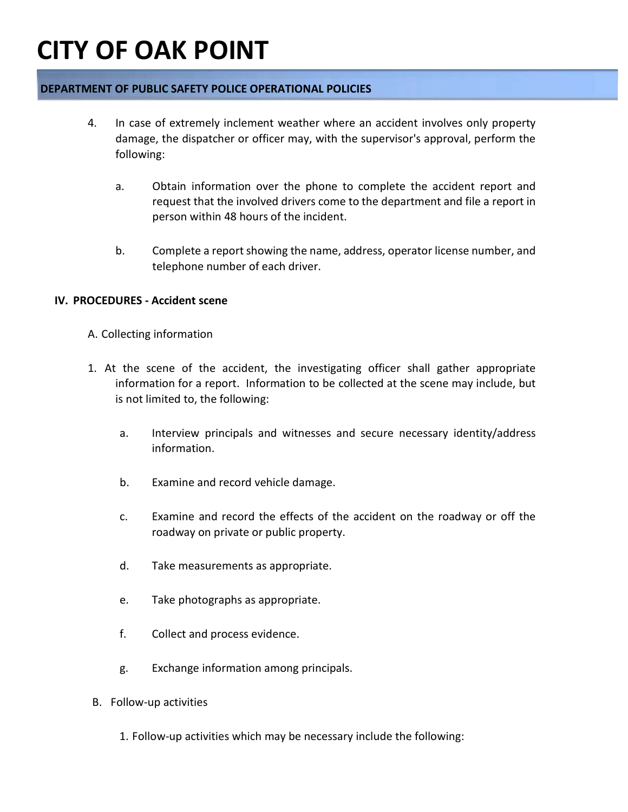### **DEPARTMENT OF PUBLIC SAFETY POLICE OPERATIONAL POLICIES**

- 4. In case of extremely inclement weather where an accident involves only property damage, the dispatcher or officer may, with the supervisor's approval, perform the following:
	- a. Obtain information over the phone to complete the accident report and request that the involved drivers come to the department and file a report in person within 48 hours of the incident.
	- b. Complete a report showing the name, address, operator license number, and telephone number of each driver.

#### **IV. PROCEDURES - Accident scene**

- A. Collecting information
- 1. At the scene of the accident, the investigating officer shall gather appropriate information for a report. Information to be collected at the scene may include, but is not limited to, the following:
	- a. Interview principals and witnesses and secure necessary identity/address information.
	- b. Examine and record vehicle damage.
	- c. Examine and record the effects of the accident on the roadway or off the roadway on private or public property.
	- d. Take measurements as appropriate.
	- e. Take photographs as appropriate.
	- f. Collect and process evidence.
	- g. Exchange information among principals.
- B. Follow-up activities
	- 1. Follow-up activities which may be necessary include the following: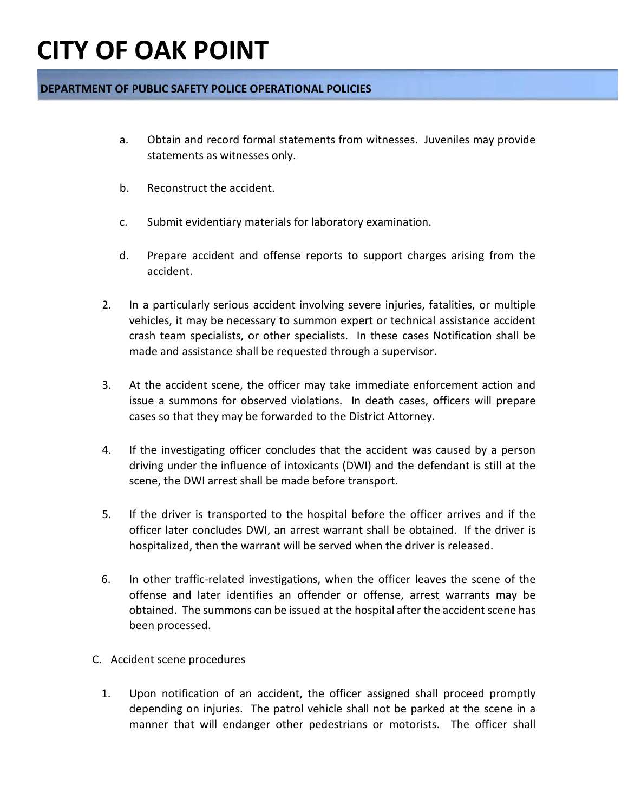### **DEPARTMENT OF PUBLIC SAFETY POLICE OPERATIONAL POLICIES**

- a. Obtain and record formal statements from witnesses. Juveniles may provide statements as witnesses only.
- b. Reconstruct the accident.
- c. Submit evidentiary materials for laboratory examination.
- d. Prepare accident and offense reports to support charges arising from the accident.
- 2. In a particularly serious accident involving severe injuries, fatalities, or multiple vehicles, it may be necessary to summon expert or technical assistance accident crash team specialists, or other specialists. In these cases Notification shall be made and assistance shall be requested through a supervisor.
- 3. At the accident scene, the officer may take immediate enforcement action and issue a summons for observed violations. In death cases, officers will prepare cases so that they may be forwarded to the District Attorney.
- 4. If the investigating officer concludes that the accident was caused by a person driving under the influence of intoxicants (DWI) and the defendant is still at the scene, the DWI arrest shall be made before transport.
- 5. If the driver is transported to the hospital before the officer arrives and if the officer later concludes DWI, an arrest warrant shall be obtained. If the driver is hospitalized, then the warrant will be served when the driver is released.
- 6. In other traffic-related investigations, when the officer leaves the scene of the offense and later identifies an offender or offense, arrest warrants may be obtained. The summons can be issued at the hospital after the accident scene has been processed.
- C. Accident scene procedures
	- 1. Upon notification of an accident, the officer assigned shall proceed promptly depending on injuries. The patrol vehicle shall not be parked at the scene in a manner that will endanger other pedestrians or motorists. The officer shall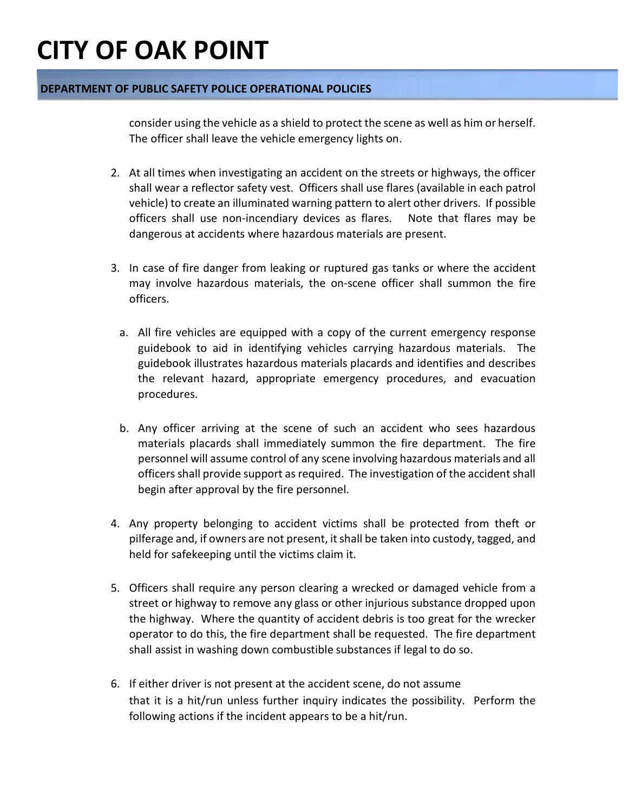### **DEPARTMENT OF PUBLIC SAFETY POLICE OPERATIONAL POLICIES**

consider using the vehicle as a shield to protect the scene as well as him or herself. The officer shall leave the vehicle emergency lights on.

- 2. At all times when investigating an accident on the streets or highways, the officer shall wear a reflector safety vest. Officers shall use flares (available in each patrol vehicle) to create an illuminated warning pattern to alert other drivers. If possible officers shall use non-incendiary devices as flares. Note that flares may be dangerous at accidents where hazardous materials are present.
- 3. In case of fire danger from leaking or ruptured gas tanks or where the accident may involve hazardous materials, the on-scene officer shall summon the fire officers.
	- a. All fire vehicles are equipped with a copy of the current emergency response guidebook to aid in identifying vehicles carrying hazardous materials. The guidebook illustrates hazardous materials placards and identifies and describes the relevant hazard, appropriate emergency procedures, and evacuation procedures.
	- b. Any officer arriving at the scene of such an accident who sees hazardous materials placards shall immediately summon the fire department. The fire personnel will assume control of any scene involving hazardous materials and all officers shall provide support as required. The investigation of the accident shall begin after approval by the fire personnel.
- 4. Any property belonging to accident victims shall be protected from theft or pilferage and, if owners are not present, it shall be taken into custody, tagged, and held for safekeeping until the victims claim it.
- 5. Officers shall require any person clearing a wrecked or damaged vehicle from a street or highway to remove any glass or other injurious substance dropped upon the highway. Where the quantity of accident debris is too great for the wrecker operator to do this, the fire department shall be requested. The fire department shall assist in washing down combustible substances if legal to do so.
- 6. If either driver is not present at the accident scene, do not assume that it is a hit/run unless further inquiry indicates the possibility. Perform the following actions if the incident appears to be a hit/run.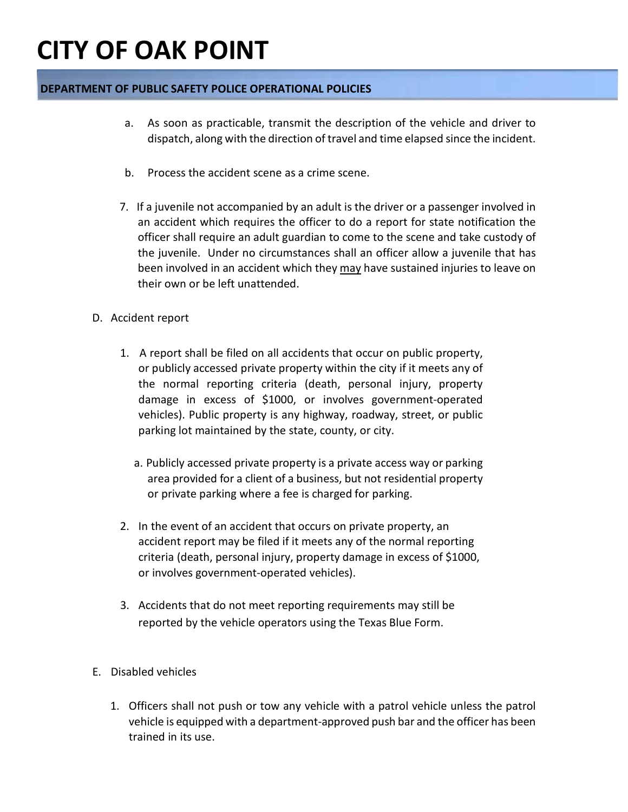### **DEPARTMENT OF PUBLIC SAFETY POLICE OPERATIONAL POLICIES**

- a. As soon as practicable, transmit the description of the vehicle and driver to dispatch, along with the direction of travel and time elapsed since the incident.
- b. Process the accident scene as a crime scene.
- 7. If a juvenile not accompanied by an adult is the driver or a passenger involved in an accident which requires the officer to do a report for state notification the officer shall require an adult guardian to come to the scene and take custody of the juvenile. Under no circumstances shall an officer allow a juvenile that has been involved in an accident which they may have sustained injuries to leave on their own or be left unattended.
- D. Accident report
	- 1. A report shall be filed on all accidents that occur on public property, or publicly accessed private property within the city if it meets any of the normal reporting criteria (death, personal injury, property damage in excess of \$1000, or involves government-operated vehicles). Public property is any highway, roadway, street, or public parking lot maintained by the state, county, or city.
		- a. Publicly accessed private property is a private access way or parking area provided for a client of a business, but not residential property or private parking where a fee is charged for parking.
	- 2. In the event of an accident that occurs on private property, an accident report may be filed if it meets any of the normal reporting criteria (death, personal injury, property damage in excess of \$1000, or involves government-operated vehicles).
	- 3. Accidents that do not meet reporting requirements may still be reported by the vehicle operators using the Texas Blue Form.
- E. Disabled vehicles
	- 1. Officers shall not push or tow any vehicle with a patrol vehicle unless the patrol vehicle is equipped with a department-approved push bar and the officer has been trained in its use.